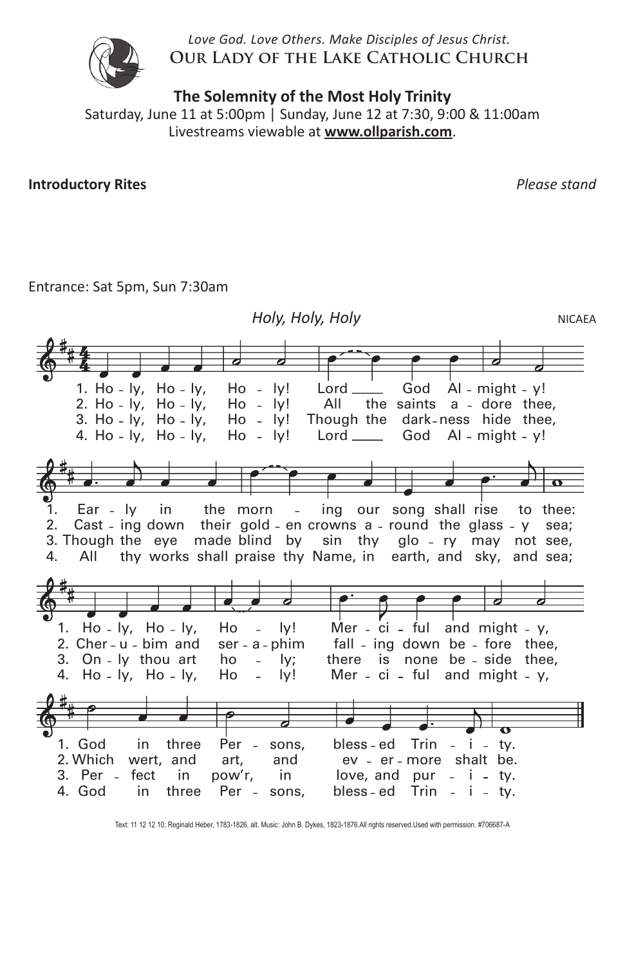*Love God. Love Others. Make Disciples of Jesus Christ.* **Our Lady of the Lake Catholic Church**



**The Solemnity of the Most Holy Trinity**

Saturday, June 11 at 5:00pm | Sunday, June 12 at 7:30, 9:00 & 11:00am Livestreams viewable at **www.ollparish.com**.

**Introductory Rites** *Please stand*

### Entrance: Sat 5pm, Sun 7:30am



Text: 11 12 12 10; Reginald Heber. 1783–1826, alt. Music: John B. Dykes, 1823–1876. Text: 11 12 12 10; Reginald Heber, 1783-1826, alt. Music: John B. Dykes, 1823-1876.All rights reserved.Used with permission. #706687-A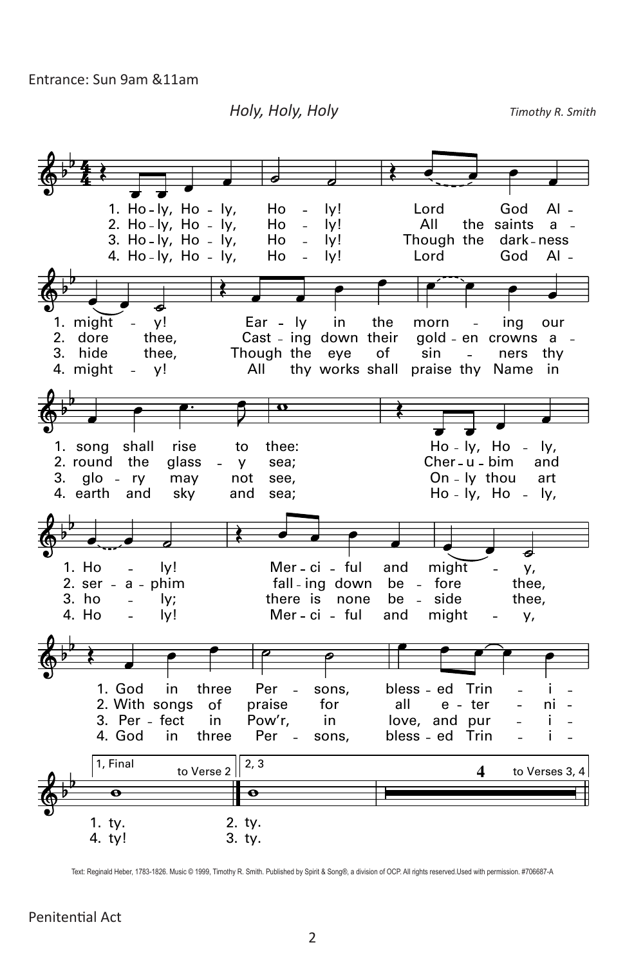Entrance: Sun 9am &11am

*Holy, Holy, Holy Timothy R. Smith* **HOLY, HOLY, HOLY**



Text: Reginald Heber, 1783-1826. Music © 1999, Timothy R. Smith. Published by Spirit & Song®, a division of OCP. All rights reserved.Used with permission. #706687-A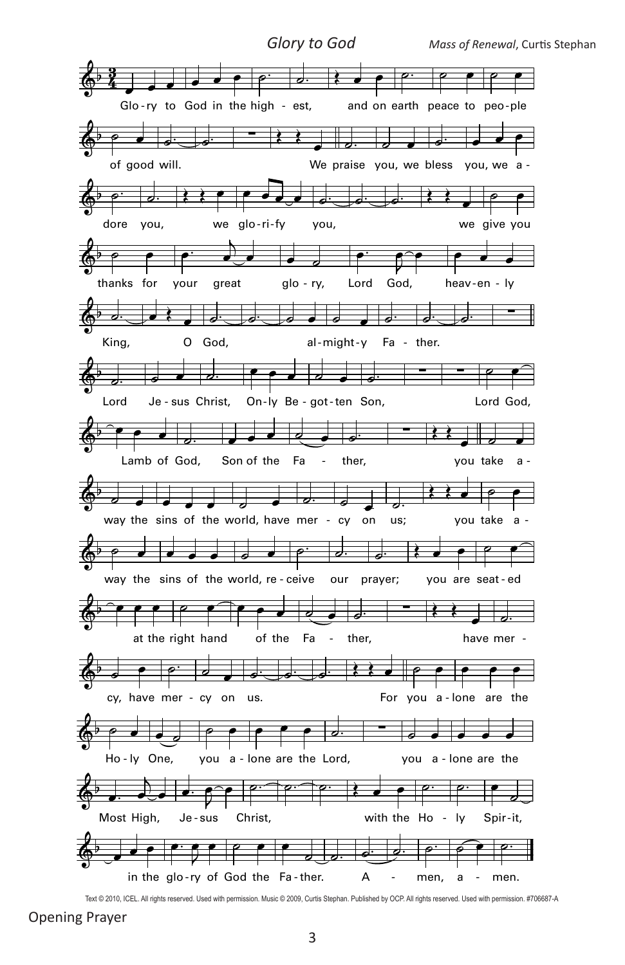

Text @ 2010, ICEL. All rights reserved. Used with permission. Music @ 2009, Curtis Stephan. Published by OCP. All rights reserved. Used with permission. #706687-A

**Opening Prayer**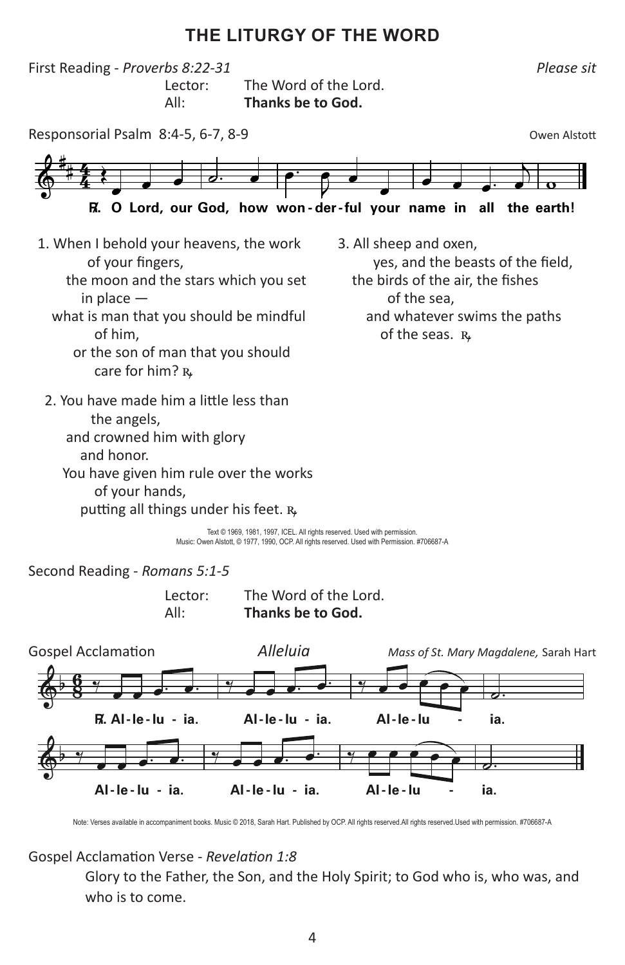## **THE LITURGY OF THE WORD**



Text © 1969, 1981, 1997, ICEL. All rights reserved. Used with permission. Music: Owen Alstott, © 1977, 1990, OCP. All rights reserved. Used with Permission. #706687-A

Second Reading - *Romans 5:1-5*

| Lector: | The Word of the Lord. |
|---------|-----------------------|
| All:    | Thanks be to God.     |



Note: Verses available in accompaniment books. Music @ 2018, Sarah Hart. Published by OCP. All rights reserved.All rights reserved.Used with permission. #706687-A

#### Gospel Acclamation Verse - *Revelation 1:8*

Glory to the Father, the Son, and the Holy Spirit; to God who is, who was, and who is to come.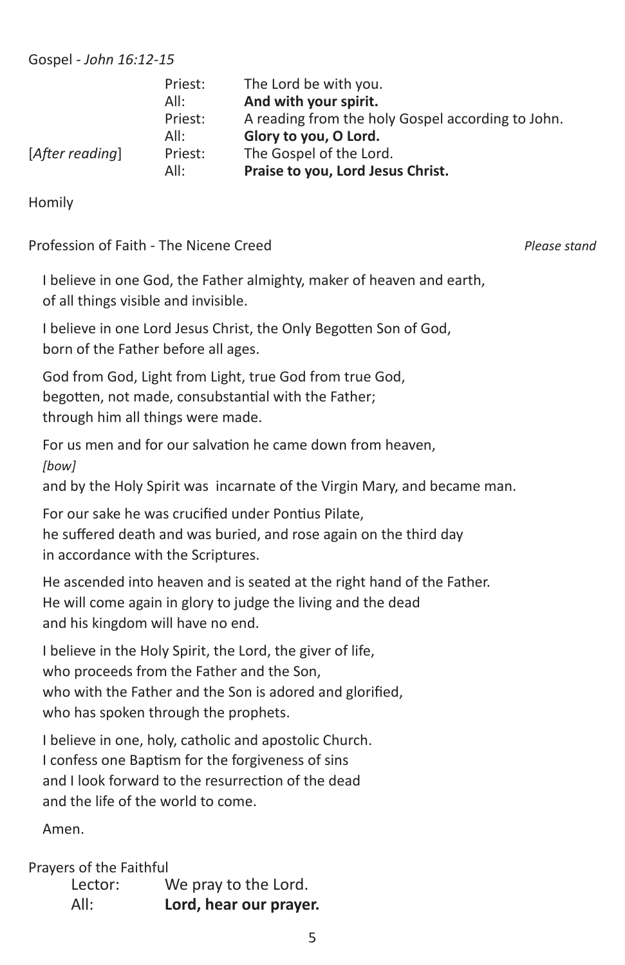Gospel - *John 16:12-15*

|                 | Priest: | The Lord be with you.                             |
|-----------------|---------|---------------------------------------------------|
|                 | All:    | And with your spirit.                             |
|                 | Priest: | A reading from the holy Gospel according to John. |
|                 | All:    | Glory to you, O Lord.                             |
| [After reading] | Priest: | The Gospel of the Lord.                           |
|                 | All:    | Praise to you, Lord Jesus Christ.                 |

Homily

Profession of Faith - The Nicene Creed *Please stand*

I believe in one God, the Father almighty, maker of heaven and earth, of all things visible and invisible.

I believe in one Lord Jesus Christ, the Only Begotten Son of God, born of the Father before all ages.

God from God, Light from Light, true God from true God, begotten, not made, consubstantial with the Father; through him all things were made.

For us men and for our salvation he came down from heaven, *[bow]*

and by the Holy Spirit was incarnate of the Virgin Mary, and became man.

For our sake he was crucified under Pontius Pilate, he suffered death and was buried, and rose again on the third day in accordance with the Scriptures.

He ascended into heaven and is seated at the right hand of the Father. He will come again in glory to judge the living and the dead and his kingdom will have no end.

I believe in the Holy Spirit, the Lord, the giver of life, who proceeds from the Father and the Son, who with the Father and the Son is adored and glorified, who has spoken through the prophets.

I believe in one, holy, catholic and apostolic Church. I confess one Baptism for the forgiveness of sins and I look forward to the resurrection of the dead and the life of the world to come.

Amen.

Prayers of the Faithful

| Lector: | We pray to the Lord.   |
|---------|------------------------|
| All:    | Lord, hear our prayer. |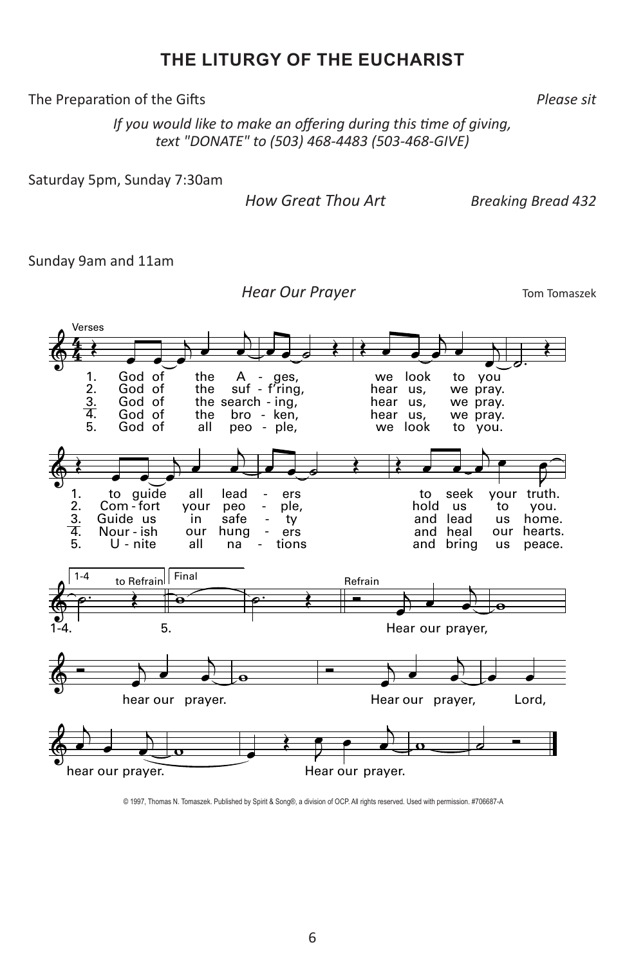## **THE LITURGY OF THE EUCHARIST**

The Preparation of the Gifts *Please sit*

*If you would like to make an offering during this time of giving, text "DONATE" to (503) 468-4483 (503-468-GIVE)*

Saturday 5pm, Sunday 7:30am

 *How Great Thou Art Breaking Bread 432*

Sunday 9am and 11am

**Hear Our Prayer** Tom Tomaszek



<sup>© 1997,</sup> Thomas N. Tomaszek. Published by Spirit & Song®, a division of OCP. All rights reserved. Used with permission. #706687-A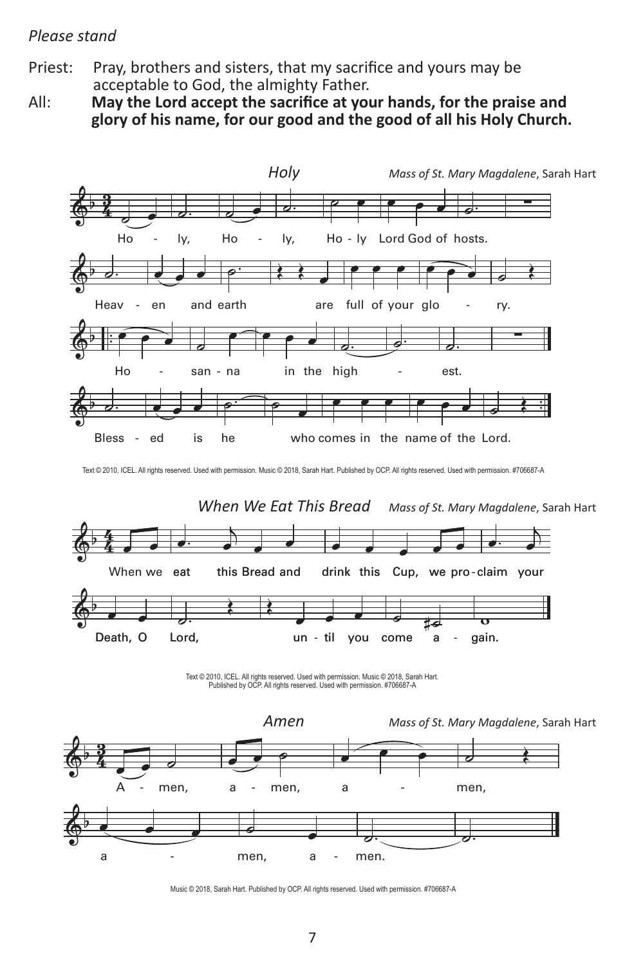#### *Please stand*

Priest: Pray, brothers and sisters, that my sacrifice and yours may be acceptable to God, the almighty Father.

All: **May the Lord accept the sacrifice at your hands, for the praise and glory of his name, for our good and the good of all his Holy Church.**



Text @ 2010, ICEL. All rights reserved. Used with permission. Music @ 2018, Sarah Hart. Published by OCP. All rights reserved. Used with permission. #706687-A



Text © 2010, ICEL. All rights reserved. Used with permission. Music © 2018, Sarah Hart.<br>Published by OCP. All rights reserved. Used with permission. #706687-A



Music © 2018, Sarah Hart. Published by OCP. All rights reserved. Used with permission. #706687-A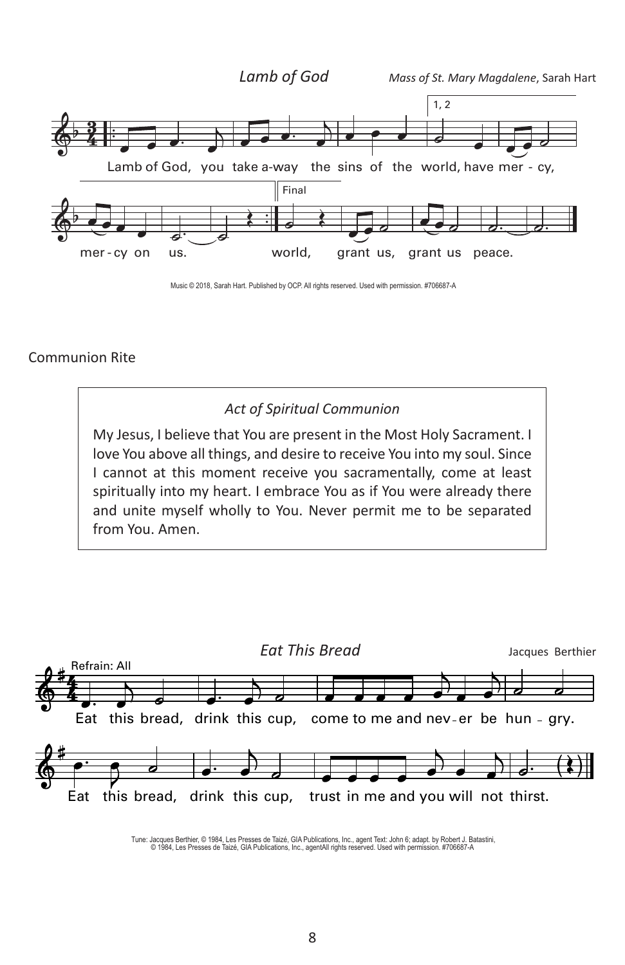

Music © 2018, Sarah Hart. Published by OCP. All rights reserved. Used with permission. #706687-A

#### Communion Rite

### *Act of Spiritual Communion*

My Jesus, I believe that You are present in the Most Holy Sacrament. I love You above all things, and desire to receive You into my soul. Since I cannot at this moment receive you sacramentally, come at least spiritually into my heart. I embrace You as if You were already there and unite myself wholly to You. Never permit me to be separated from You. Amen.



Tune: Jacques Berthier, © 1984, Les Presses de Taizé, GIA Publications, Inc., agent Text: John 6; adapt. by Robert J. Batastini,<br>© 1984, Les Presses de Taizé, GIA Publications, Inc., agentAll rights reserved. Used with p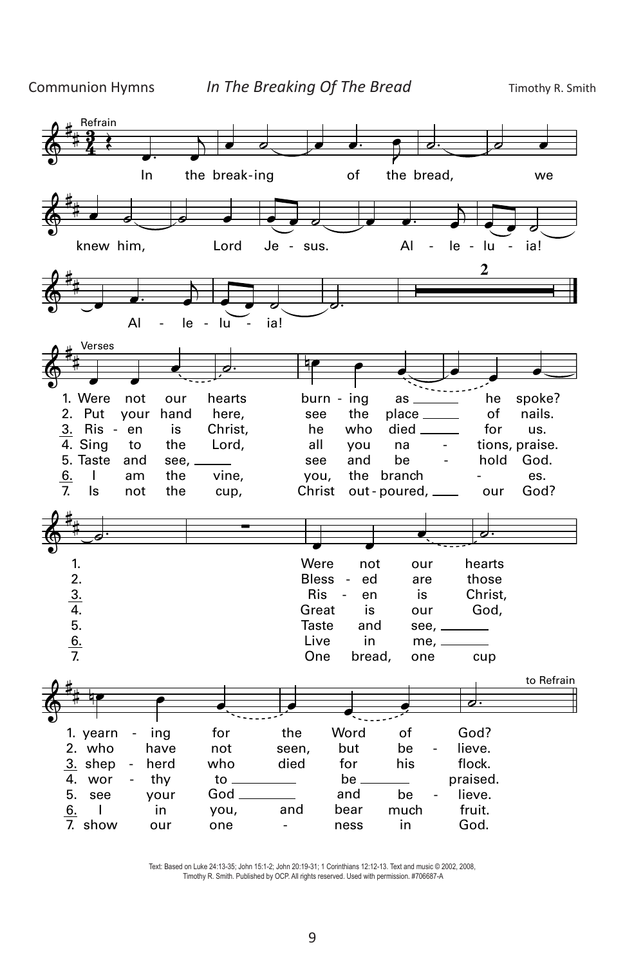

Text: Based on Luke 24:13–35; John 15:1–2; John 20:19–31; 1 Corinthians 12:12–13. Text: Based on Luke 24:13-35; John 15:1-2; John 20:19-31; 1 Corinthians 12:12-13. Text and music © 2002, 2008, iext: Based on Luke 24:13-35; John 15:1-2; John 20:19-31; 1 Conntnians 12:12-13. Text and music © 2002, 2008,<br>Timothy R. Smith. Published by OCP. All rights reserved. Used with permission. #706687-A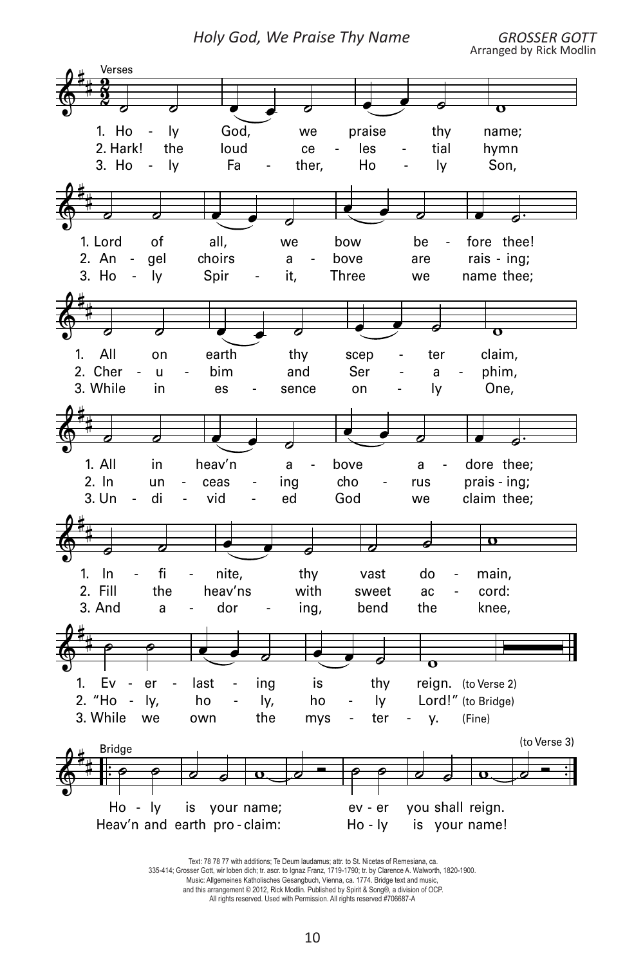Holy God, We Praise Thy Name



Text: 78 78 77 with additions; Te Deum laudamus; attr. to St. Nicetas of Remesiana, ca. 335-414; Grosser Gott, wir loben dich; tr. ascr. to Ignaz Franz, 1719-1790; tr. by Clarence A. Walworth, 1820-1900. Music: Allgemeines Katholisches Gesangbuch, Vienna, ca. 1774. Bridge text and music, and this arrangement © 2012, Rick Modlin. Published by Spirit & Song®, a division of OCP. All rights reserved. Used with Permission. All rights reserved #706687-A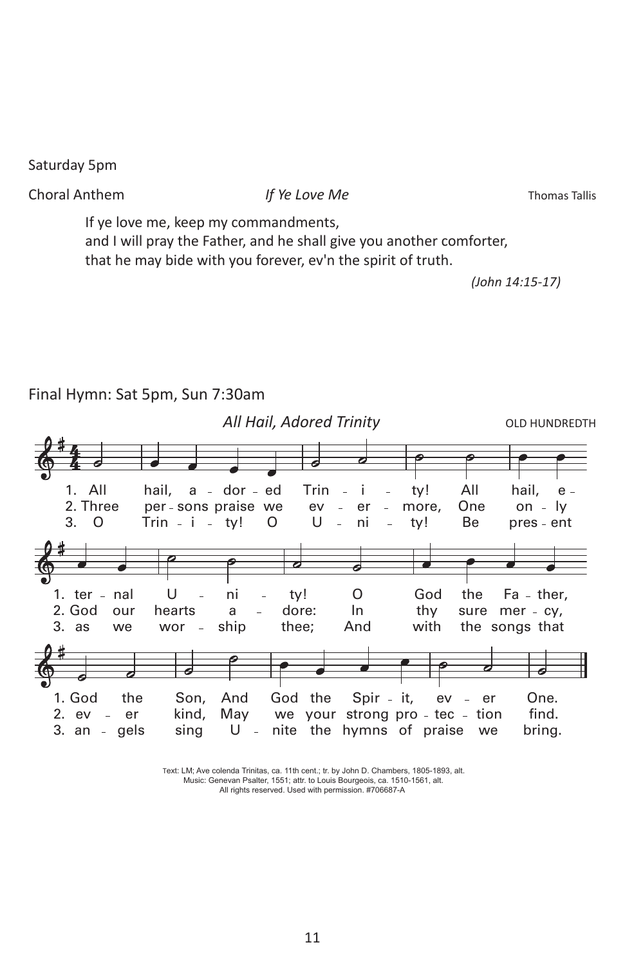Saturday 5pm

Choral Anthem *If Ye Love Me* Thomas Tallis

If ye love me, keep my commandments, and I will pray the Father, and he shall give you another comforter, that he may bide with you forever, ev'n the spirit of truth.

*(John 14:15-17)*



Final Hymn: Sat 5pm, Sun 7:30am

Text: LM; *Ave colenda Trinitas,* ca. 11th cent.; tr. by John D. Chambers, 1805–1893, alt. Text: LM; Ave colenda Trinitas, ca. 11th cent.; tr. by John D. Chambers, 1805-1893, alt.<br>Music: Genevan Psalter, 1551; attr. to Louis Bourgeois, ca. 1510-1561, alt. All rights reserved. Used with permission. #706687-A